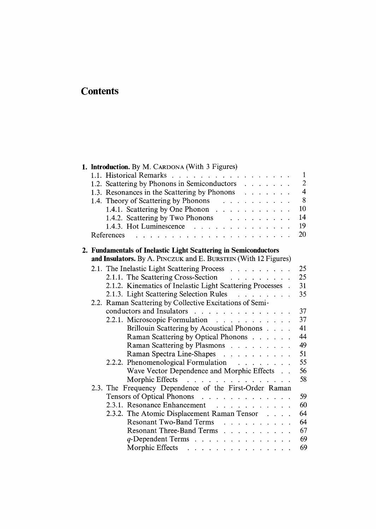## **Contents**

| 1. Introduction. By M. CARDONA (With 3 Figures)                                                                                                                                                                                                   |                  |
|---------------------------------------------------------------------------------------------------------------------------------------------------------------------------------------------------------------------------------------------------|------------------|
| 1.1. Historical Remarks                                                                                                                                                                                                                           | $\mathbf{1}$     |
| 1.2. Scattering by Phonons in Semiconductors                                                                                                                                                                                                      | $\boldsymbol{2}$ |
| 1.3. Resonances in the Scattering by Phonons                                                                                                                                                                                                      | $\overline{4}$   |
| 1.4. Theory of Scattering by Phonons                                                                                                                                                                                                              | 8                |
| 1.4.1. Scattering by One Phonon                                                                                                                                                                                                                   | 10               |
| 1.4.2. Scattering by Two Phonons                                                                                                                                                                                                                  | 14               |
| 1.4.3. Hot Luminescence $\ldots$ $\ldots$ $\ldots$ $\ldots$ $\ldots$                                                                                                                                                                              | 19               |
| References                                                                                                                                                                                                                                        | 20               |
|                                                                                                                                                                                                                                                   |                  |
| 2. Fundamentals of Inelastic Light Scattering in Semiconductors                                                                                                                                                                                   |                  |
| and Insulators. By A. PINCZUK and E. BURSTEIN (With 12 Figures)                                                                                                                                                                                   |                  |
| 2.1. The Inelastic Light Scattering Process                                                                                                                                                                                                       | 25               |
| 2.1.1. The Scattering Cross-Section                                                                                                                                                                                                               | 25               |
| 2.1.2. Kinematics of Inelastic Light Scattering Processes .                                                                                                                                                                                       | 31               |
| 2.1.3. Light Scattering Selection Rules                                                                                                                                                                                                           | 35               |
| 2.2. Raman Scattering by Collective Excitations of Semi-                                                                                                                                                                                          |                  |
| conductors and Insulators                                                                                                                                                                                                                         | 37               |
| 2.2.1. Microscopic Formulation                                                                                                                                                                                                                    | 37               |
| Brillouin Scattering by Acoustical Phonons                                                                                                                                                                                                        | 41               |
| Raman Scattering by Optical Phonons                                                                                                                                                                                                               | 44               |
| Raman Scattering by Plasmons                                                                                                                                                                                                                      | 49               |
| Raman Spectra Line-Shapes                                                                                                                                                                                                                         | 51               |
| 2.2.2. Phenomenological Formulation                                                                                                                                                                                                               | 55               |
| Wave Vector Dependence and Morphic Effects                                                                                                                                                                                                        | 56               |
| Morphic Effects<br>and the company of the company of the company of the company of the company of the company of the company of the company of the company of the company of the company of the company of the company of the company of the comp | 58               |
| 2.3. The Frequency Dependence of the First-Order Raman                                                                                                                                                                                            |                  |
| Tensors of Optical Phonons                                                                                                                                                                                                                        | 59               |
| 2.3.1. Resonance Enhancement                                                                                                                                                                                                                      | 60               |
| 2.3.2. The Atomic Displacement Raman Tensor                                                                                                                                                                                                       | 64               |
| <b>Resonant Two-Band Terms</b><br>$\ddot{\phantom{a}}$                                                                                                                                                                                            | 64               |
| Resonant Three-Band Terms                                                                                                                                                                                                                         | 67               |
| q-Dependent Terms                                                                                                                                                                                                                                 | 69               |
| Morphic Effects                                                                                                                                                                                                                                   | 69               |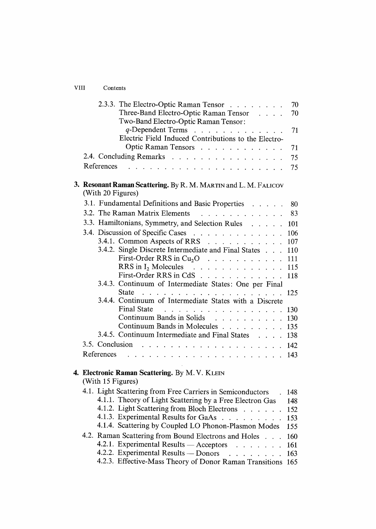## VIII Contents

| 2.3.3. The Electro-Optic Raman Tensor<br>Three-Band Electro-Optic Raman Tensor<br>Two-Band Electro-Optic Raman Tensor:<br>q-Dependent Terms<br>Electric Field Induced Contributions to the Electro-<br>Optic Raman Tensors                     | 70<br>70<br>71<br>71 |
|------------------------------------------------------------------------------------------------------------------------------------------------------------------------------------------------------------------------------------------------|----------------------|
| 2.4. Concluding Remarks                                                                                                                                                                                                                        | 75                   |
| References<br>the contract of the contract of the contract of the                                                                                                                                                                              | 75                   |
| 3. Resonant Raman Scattering. By R. M. MARTIN and L. M. FALICOV<br>(With 20 Figures)                                                                                                                                                           |                      |
| 3.1. Fundamental Definitions and Basic Properties                                                                                                                                                                                              | 80                   |
| 3.2. The Raman Matrix Elements                                                                                                                                                                                                                 | 83                   |
| 3.3. Hamiltonians, Symmetry, and Selection Rules                                                                                                                                                                                               | 101                  |
| 3.4. Discussion of Specific Cases                                                                                                                                                                                                              | 106                  |
| 3.4.1. Common Aspects of RRS                                                                                                                                                                                                                   | 107                  |
| 3.4.2. Single Discrete Intermediate and Final States                                                                                                                                                                                           | 110                  |
| First-Order RRS in $Cu_2O$                                                                                                                                                                                                                     | 111                  |
| RRS in $I_2$ Molecules<br>and the contract of the contract of the                                                                                                                                                                              | 115                  |
| First-Order RRS in CdS<br>3.4.3. Continuum of Intermediate States: One per Final                                                                                                                                                               | 118                  |
|                                                                                                                                                                                                                                                | 125                  |
| 3.4.4. Continuum of Intermediate States with a Discrete                                                                                                                                                                                        |                      |
| Final State                                                                                                                                                                                                                                    | 130                  |
| Continuum Bands in Solids                                                                                                                                                                                                                      | 130                  |
| Continuum Bands in Molecules                                                                                                                                                                                                                   | 135                  |
| 3.4.5. Continuum Intermediate and Final States 138                                                                                                                                                                                             |                      |
| 3.5. Conclusion<br>$\mathcal{A}$ . As we can consider the contribution of the contribution of $\mathcal{A}$                                                                                                                                    | 142                  |
| References .<br>the contract of the contract of the contract of the contract of the contract of the contract of the contract of the contract of the contract of the contract of the contract of the contract of the contract of the contract o | 143                  |
| 4. Electronic Raman Scattering. By M.V. KLEIN                                                                                                                                                                                                  |                      |
| (With 15 Figures)                                                                                                                                                                                                                              |                      |
| 4.1. Light Scattering from Free Carriers in Semiconductors                                                                                                                                                                                     | 148                  |
| 4.1.1. Theory of Light Scattering by a Free Electron Gas                                                                                                                                                                                       | 148                  |
| 4.1.2. Light Scattering from Bloch Electrons                                                                                                                                                                                                   | 152                  |
| 4.1.3. Experimental Results for GaAs                                                                                                                                                                                                           | 153                  |
| 4.1.4. Scattering by Coupled LO Phonon-Plasmon Modes                                                                                                                                                                                           | 155                  |
| 4.2. Raman Scattering from Bound Electrons and Holes                                                                                                                                                                                           | 160                  |
| 4.2.1. Experimental Results — Acceptors 4.2.2. Experimental Results — Donors                                                                                                                                                                   | 161                  |
| 4.2.3. Effective-Mass Theory of Donor Raman Transitions                                                                                                                                                                                        | 163<br>165           |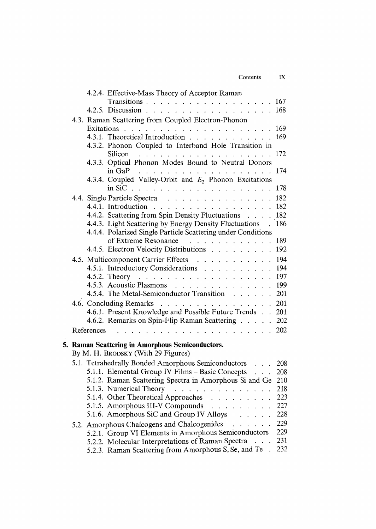| Contents | īХ |
|----------|----|
|          |    |

|  | 4.2.4. Effective-Mass Theory of Acceptor Raman                                          |      |  |
|--|-----------------------------------------------------------------------------------------|------|--|
|  | Transitions 167                                                                         |      |  |
|  | . 168<br>4.2.5. Discussion.                                                             |      |  |
|  | 4.3. Raman Scattering from Coupled Electron-Phonon                                      |      |  |
|  |                                                                                         | -169 |  |
|  | 4.3.1. Theoretical Introduction $\ldots$ $\ldots$ $\ldots$ $\ldots$ $\ldots$            | 169  |  |
|  | 4.3.2. Phonon Coupled to Interband Hole Transition in                                   |      |  |
|  | Silicon 172                                                                             |      |  |
|  | 4.3.3. Optical Phonon Modes Bound to Neutral Donors                                     | 174  |  |
|  | 4.3.4. Coupled Valley-Orbit and $E_2$ Phonon Excitations                                |      |  |
|  |                                                                                         | 178  |  |
|  |                                                                                         | 182  |  |
|  | 4.4. Single Particle Spectra<br>4.4.1. Introduction                                     | 182  |  |
|  | 4.4.2. Scattering from Spin Density Fluctuations                                        | 182  |  |
|  | 4.4.3. Light Scattering by Energy Density Fluctuations .                                | 186  |  |
|  | 4.4.4. Polarized Single Particle Scattering under Conditions                            |      |  |
|  | of Extreme Resonance<br>$\mathbf{r}$ . The state of the state of the state $\mathbf{r}$ | 189  |  |
|  | 4.4.5. Electron Velocity Distributions                                                  | 192  |  |
|  | 4.5. Multicomponent Carrier Effects 194                                                 |      |  |
|  | 4.5.1. Introductory Considerations 194                                                  |      |  |
|  |                                                                                         |      |  |
|  | 4.5.3. Acoustic Plasmons                                                                | 199  |  |
|  | 4.5.4. The Metal-Semiconductor Transition 201                                           |      |  |
|  | 4.6. Concluding Remarks 201                                                             |      |  |
|  | 4.6.1. Present Knowledge and Possible Future Trends 201                                 |      |  |
|  | 4.6.2. Remarks on Spin-Flip Raman Scattering 202                                        |      |  |
|  | $\cdots$ 202<br>References                                                              |      |  |
|  | 5. Raman Scattering in Amorphous Semiconductors.                                        |      |  |
|  | By M. H. BRODSKY (With 29 Figures)                                                      |      |  |
|  | 5.1. Tetrahedrally Bonded Amorphous Semiconductors                                      | 208  |  |
|  | 5.1.1. Elemental Group IV Films - Basic Concepts                                        | 208  |  |
|  | 5.1.2. Raman Scattering Spectra in Amorphous Si and Ge 210                              |      |  |
|  | 5.1.3. Numerical Theory $\ldots$ $\ldots$ $\ldots$ $\ldots$ $\ldots$ $\ldots$           | 218  |  |
|  | 5.1.4. Other Theoretical Approaches                                                     | 223  |  |
|  | 5.1.5. Amorphous III-V Compounds                                                        | 227  |  |
|  | 5.1.6. Amorphous SiC and Group IV Alloys                                                | 228  |  |
|  | 5.2. Amorphous Chalcogens and Chalcogenides                                             | 229  |  |
|  | 5.2.1. Group VI Elements in Amorphous Semiconductors                                    | 229  |  |
|  | 5.2.2. Molecular Interpretations of Raman Spectra                                       | 231  |  |
|  | 5.2.3. Raman Scattering from Amorphous S, Se, and Te.                                   | 232  |  |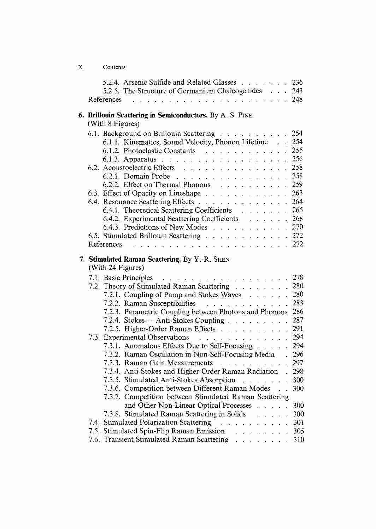| 5.2.4. Arsenic Sulfide and Related Glasses 236                                                                                                                                                                                                                             |                   |
|----------------------------------------------------------------------------------------------------------------------------------------------------------------------------------------------------------------------------------------------------------------------------|-------------------|
| 5.2.5. The Structure of Germanium Chalcogenides 243<br>. 248<br>References<br>$\mathcal{L}$<br>$\begin{array}{cccccccccccccc} \bullet & \bullet & \bullet & \bullet & \bullet & \bullet & \bullet & \bullet & \bullet & \bullet & \bullet & \bullet & \bullet \end{array}$ |                   |
| 6. Brillouin Scattering in Semiconductors. By A. S. PINE<br>(With 8 Figures)                                                                                                                                                                                               |                   |
| 6.1. Background on Brillouin Scattering 254<br>6.1.1. Kinematics, Sound Velocity, Phonon Lifetime 254<br>6.1.2. Photoelastic Constants 255<br>6.1.3. Apparatus 256                                                                                                         |                   |
| 6.2. Acoustoelectric Effects 258<br>6.2.1. Domain Probe 258<br>6.2.2. Effect on Thermal Phonons 259                                                                                                                                                                        |                   |
| 6.3. Effect of Opacity on Lineshape 263<br>6.4. Resonance Scattering Effects 264                                                                                                                                                                                           |                   |
| 6.4.1. Theoretical Scattering Coefficients 265<br>6.4.2. Experimental Scattering Coefficients 268<br>6.4.3. Predictions of New Modes 270                                                                                                                                   |                   |
| 6.5. Stimulated Brillouin Scattering 272<br>References                                                                                                                                                                                                                     |                   |
| 7. Stimulated Raman Scattering. By Y.-R. SHEN<br>(With 24 Figures)                                                                                                                                                                                                         |                   |
| 7.1. Basic Principles<br>. 278<br>7.2. Theory of Stimulated Raman Scattering 280<br>7.2.1. Coupling of Pump and Stokes Waves                                                                                                                                               | 280               |
| 7.2.2. Raman Susceptibilities<br>7.2.3. Parametric Coupling between Photons and Phonons 286<br>7.2.4. Stokes — Anti-Stokes Coupling $\ldots$ $\ldots$ $\ldots$                                                                                                             | 283<br>287        |
| 7.2.5. Higher-Order Raman Effects<br>7.3. Experimental Observations<br>7.3.1. Anomalous Effects Due to Self-Focusing                                                                                                                                                       | 291<br>294<br>294 |
| 7.3.2. Raman Oscillation in Non-Self-Focusing Media .<br>7.3.3. Raman Gain Measurements                                                                                                                                                                                    | 296<br>297        |
| 7.3.4. Anti-Stokes and Higher-Order Raman Radiation . 298<br>7.3.5. Stimulated Anti-Stokes Absorption                                                                                                                                                                      | 300<br>300        |
| 7.3.6. Competition between Different Raman Modes<br>7.3.7. Competition between Stimulated Raman Scattering<br>and Other Non-Linear Optical Processes                                                                                                                       | 300               |
| 7.3.8. Stimulated Raman Scattering in Solids<br>7.4. Stimulated Polarization Scattering 301                                                                                                                                                                                | 300               |
| 7.5. Stimulated Spin-Flip Raman Emission                                                                                                                                                                                                                                   | 305               |
| 7.6. Transient Stimulated Raman Scattering                                                                                                                                                                                                                                 | 310               |